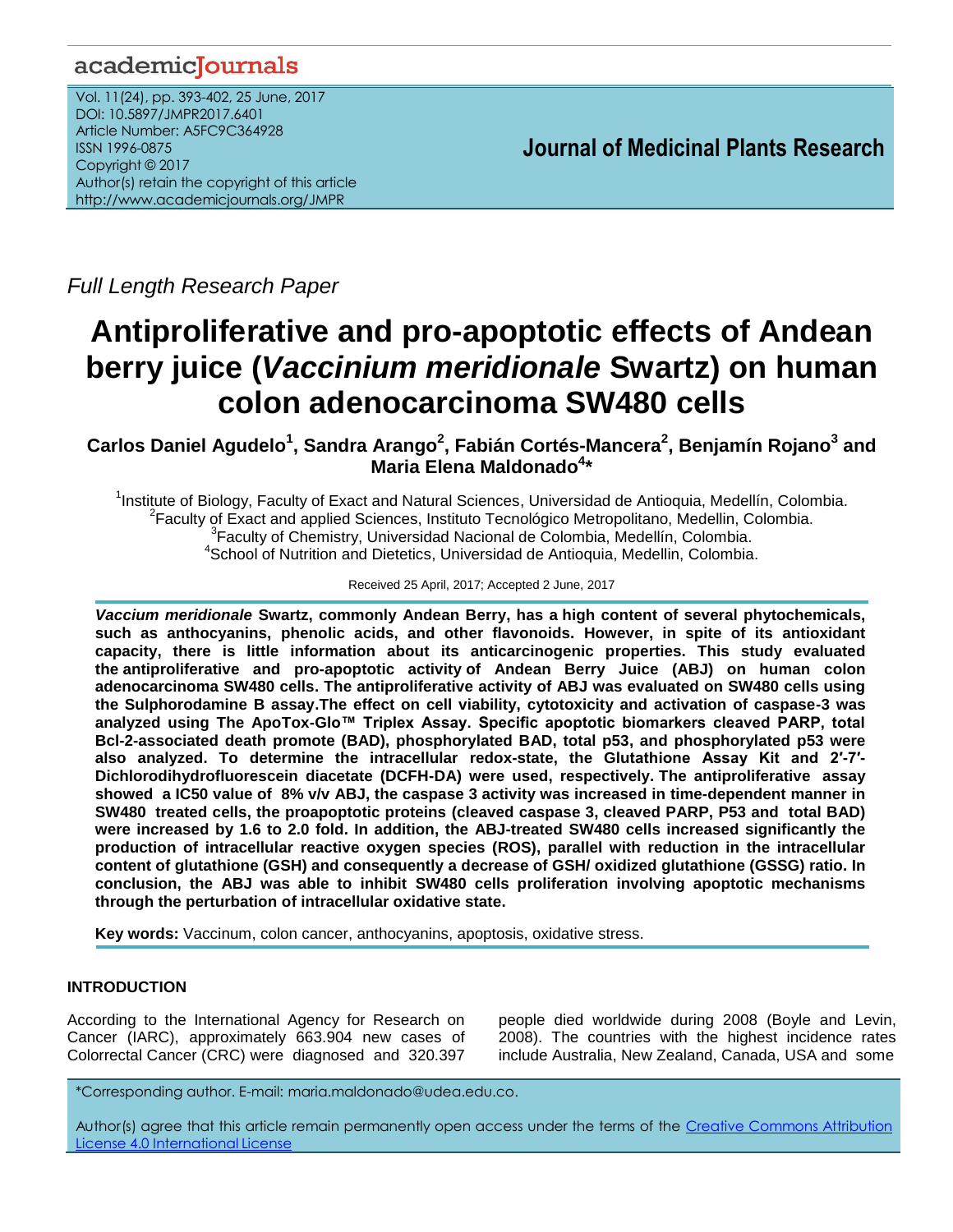# academicJournals

Vol. 11(24), pp. 393-402, 25 June, 2017 DOI: 10.5897/JMPR2017.6401 Article Number: A5FC9C364928 ISSN 1996-0875 Copyright © 2017 Author(s) retain the copyright of this article http://www.academicjournals.org/JMPR

 **Journal of Medicinal Plants Research**

*Full Length Research Paper*

# **Antiproliferative and pro-apoptotic effects of Andean berry juice (***Vaccinium meridionale* **Swartz) on human colon adenocarcinoma SW480 cells**

**Carlos Daniel Agudelo<sup>1</sup> , Sandra Arango<sup>2</sup> , Fabián Cortés-Mancera<sup>2</sup> , Benjamín Rojano<sup>3</sup> and Maria Elena Maldonado<sup>4</sup> \***

<sup>1</sup>Institute of Biology, Faculty of Exact and Natural Sciences, Universidad de Antioquia, Medellín, Colombia. <sup>2</sup> Faculty of Exact and applied Sciences, Instituto Tecnológico Metropolitano, Medellin, Colombia. <sup>3</sup> Faculty of Chemistry, Universidad Nacional de Colombia, Medellín, Colombia. <sup>4</sup>School of Nutrition and Dietetics, Universidad de Antioquia, Medellin, Colombia.

Received 25 April, 2017; Accepted 2 June, 2017

*Vaccium meridionale* **Swartz, commonly Andean Berry, has a high content of several phytochemicals, such as anthocyanins, phenolic acids, and other flavonoids. However, in spite of its antioxidant capacity, there is little information about its anticarcinogenic properties. This study evaluated the antiproliferative and pro-apoptotic activity of Andean Berry Juice (ABJ) on human colon adenocarcinoma SW480 cells. The antiproliferative activity of ABJ was evaluated on SW480 cells using the Sulphorodamine B assay.The effect on cell viability, cytotoxicity and activation of caspase-3 was analyzed using The ApoTox-Glo™ Triplex Assay. Specific apoptotic biomarkers cleaved PARP, total Bcl-2-associated death promote (BAD), phosphorylated BAD, total p53, and phosphorylated p53 were also analyzed. To determine the intracellular redox-state, the Glutathione Assay Kit and 2′-7′- Dichlorodihydrofluorescein diacetate (DCFH-DA) were used, respectively. The antiproliferative assay showed a IC50 value of 8% v/v ABJ, the caspase 3 activity was increased in time-dependent manner in SW480 treated cells, the proapoptotic proteins (cleaved caspase 3, cleaved PARP, P53 and total BAD) were increased by 1.6 to 2.0 fold. In addition, the ABJ-treated SW480 cells increased significantly the production of intracellular reactive oxygen species (ROS), parallel with reduction in the intracellular content of glutathione (GSH) and consequently a decrease of GSH/ oxidized glutathione (GSSG) ratio. In conclusion, the ABJ was able to inhibit SW480 cells proliferation involving apoptotic mechanisms through the perturbation of intracellular oxidative state.**

**Key words:** Vaccinum, colon cancer, anthocyanins, apoptosis, oxidative stress.

# **INTRODUCTION**

According to the International Agency for Research on Cancer (IARC), approximately 663.904 new cases of Colorrectal Cancer (CRC) were diagnosed and 320.397 people died worldwide during 2008 (Boyle and Levin, 2008). The countries with the highest incidence rates include Australia, New Zealand, Canada, USA and some

\*Corresponding author. E-mail: maria.maldonado@udea.edu.co.

Author(s) agree that this article remain permanently open access under the terms of the Creative Commons Attribution License 4.0 [International](http://creativecommons.org/licenses/by/4.0/deed.en_US) License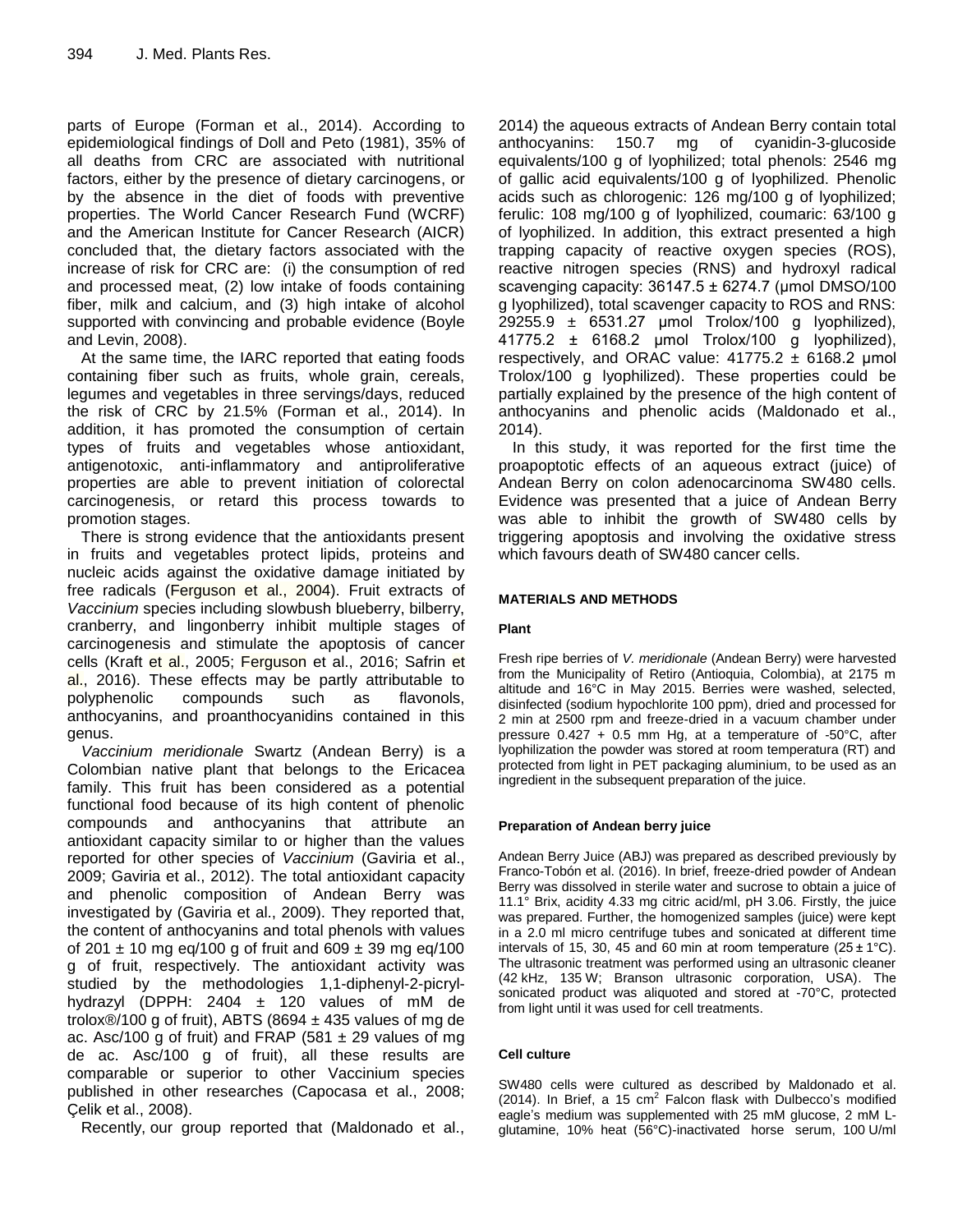parts of Europe (Forman et al., 2014). According to epidemiological findings of Doll and Peto (1981), 35% of all deaths from CRC are associated with nutritional factors, either by the presence of dietary carcinogens, or by the absence in the diet of foods with preventive properties. The World Cancer Research Fund (WCRF) and the American Institute for Cancer Research (AICR) concluded that, the dietary factors associated with the increase of risk for CRC are: (i) the consumption of red and processed meat, (2) low intake of foods containing fiber, milk and calcium, and (3) high intake of alcohol supported with convincing and probable evidence (Boyle and Levin, 2008).

At the same time, the IARC reported that eating foods containing fiber such as fruits, whole grain, cereals, legumes and vegetables in three servings/days, reduced the risk of CRC by 21.5% (Forman et al., 2014). In addition, it has promoted the consumption of certain types of fruits and vegetables whose antioxidant, antigenotoxic, anti-inflammatory and antiproliferative properties are able to prevent initiation of colorectal carcinogenesis, or retard this process towards to promotion stages.

There is strong evidence that the antioxidants present in fruits and vegetables protect lipids, proteins and nucleic acids against the oxidative damage initiated by free radicals (Ferguson et al., 2004). Fruit extracts of *Vaccinium* species including slowbush blueberry, bilberry, cranberry, and lingonberry inhibit multiple stages of carcinogenesis and stimulate the apoptosis of cancer cells (Kraft et al., 2005; Ferguson et al., 2016; Safrin et al., 2016). These effects may be partly attributable to polyphenolic compounds such as flavonols, anthocyanins, and proanthocyanidins contained in this genus.

*Vaccinium meridionale* Swartz (Andean Berry) is a Colombian native plant that belongs to the Ericacea family. This fruit has been considered as a potential functional food because of its high content of phenolic compounds and anthocyanins that attribute an antioxidant capacity similar to or higher than the values reported for other species of *Vaccinium* (Gaviria et al., 2009; Gaviria et al., 2012). The total antioxidant capacity and phenolic composition of Andean Berry was investigated by (Gaviria et al., 2009). They reported that, the content of anthocyanins and total phenols with values of 201  $\pm$  10 mg eq/100 g of fruit and 609  $\pm$  39 mg eq/100 g of fruit, respectively. The antioxidant activity was studied by the methodologies 1,1-diphenyl-2-picrylhydrazyl (DPPH: 2404 ± 120 values of mM de trolox®/100 g of fruit), ABTS (8694  $\pm$  435 values of mg de ac. Asc/100 g of fruit) and FRAP (581  $\pm$  29 values of mg de ac. Asc/100 g of fruit), all these results are comparable or superior to other Vaccinium species published in other researches (Capocasa et al., 2008; Çelik et al., 2008).

Recently, our group reported that (Maldonado et al.,

2014) the aqueous extracts of Andean Berry contain total anthocyanins: 150.7 mg of cyanidin-3-glucoside equivalents/100 g of lyophilized; total phenols: 2546 mg of gallic acid equivalents/100 g of lyophilized. Phenolic acids such as chlorogenic: 126 mg/100 g of lyophilized; ferulic: 108 mg/100 g of lyophilized, coumaric: 63/100 g of lyophilized. In addition, this extract presented a high trapping capacity of reactive oxygen species (ROS), reactive nitrogen species (RNS) and hydroxyl radical scavenging capacity:  $36147.5 \pm 6274.7$  (umol DMSO/100 g lyophilized), total scavenger capacity to ROS and RNS:  $29255.9 \pm 6531.27 \pm 100 \pm 100 \pm 100 \pm 100 \pm 100 \pm 100 \pm 100 \pm 100 \pm 100 \pm 100 \pm 100 \pm 100 \pm 100 \pm 100 \pm 100 \pm 100 \pm 100 \pm 100 \pm 100 \pm 100 \pm 100 \pm 100 \pm 100 \pm 100 \pm 100 \pm 100 \pm 100 \pm 100 \pm 100 \pm 100 \pm 100 \pm 100 \pm 100 \pm 10$  $41775.2 \pm 6168.2 \pm 6168.2$  (mmol Trolox/100 g lyophilized), respectively, and ORAC value:  $41775.2 \pm 6168.2$  µmol Trolox/100 g lyophilized). These properties could be partially explained by the presence of the high content of anthocyanins and phenolic acids (Maldonado et al., 2014).

In this study, it was reported for the first time the proapoptotic effects of an aqueous extract (juice) of Andean Berry on colon adenocarcinoma SW480 cells. Evidence was presented that a juice of Andean Berry was able to inhibit the growth of SW480 cells by triggering apoptosis and involving the oxidative stress which favours death of SW480 cancer cells.

# **MATERIALS AND METHODS**

# **Plant**

Fresh ripe berries of *V. meridionale* (Andean Berry) were harvested from the Municipality of Retiro (Antioquia, Colombia), at 2175 m altitude and 16°C in May 2015. Berries were washed, selected, disinfected (sodium hypochlorite 100 ppm), dried and processed for 2 min at 2500 rpm and freeze-dried in a vacuum chamber under pressure 0.427 + 0.5 mm Hg, at a temperature of -50°C, after lyophilization the powder was stored at room temperatura (RT) and protected from light in PET packaging aluminium, to be used as an ingredient in the subsequent preparation of the juice.

# **Preparation of Andean berry juice**

Andean Berry Juice (ABJ) was prepared as described previously by Franco-Tobón et al. (2016). In brief, freeze-dried powder of Andean Berry was dissolved in sterile water and sucrose to obtain a juice of 11.1° Brix, acidity 4.33 mg citric acid/ml, pH 3.06. Firstly, the juice was prepared. Further, the homogenized samples (juice) were kept in a 2.0 ml micro [centrifuge tubes](http://www.sigmaaldrich.com/etc/controller/controller-page.html?TablePage=107182424) and sonicated at different time intervals of 15, 30, 45 and 60 min at room temperature  $(25 \pm 1^{\circ} \text{C})$ . The ultrasonic treatment was performed using an ultrasonic cleaner (42 kHz, 135 W; Branson ultrasonic corporation, USA). The sonicated product was aliquoted and stored at -70°C, protected from light until it was used for cell treatments.

# **Cell culture**

SW480 cells were cultured as described by Maldonado et al.  $(2014)$ . In Brief, a 15 cm<sup>2</sup> Falcon flask with Dulbecco's modified eagle's medium was supplemented with 25 mM glucose, 2 mM Lglutamine, 10% heat (56°C)-inactivated horse serum, 100 U/ml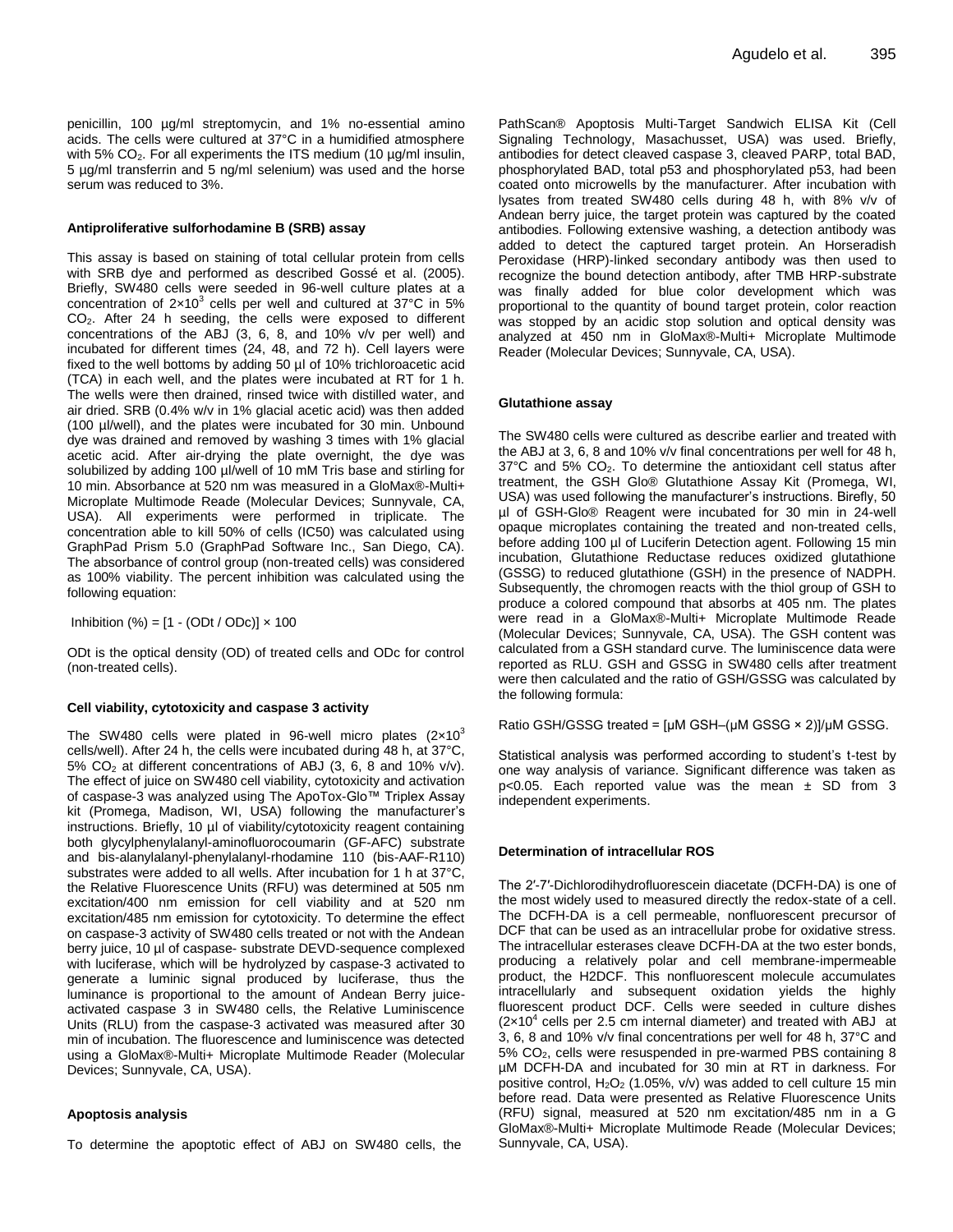penicillin, 100 µg/ml streptomycin, and 1% no-essential amino acids. The cells were cultured at 37°C in a humidified atmosphere with 5% CO<sub>2</sub>. For all experiments the ITS medium (10 µg/ml insulin, 5 µg/ml transferrin and 5 ng/ml selenium) was used and the horse serum was reduced to 3%.

#### **Antiproliferative sulforhodamine B (SRB) assay**

This assay is based on staining of total cellular protein from cells with SRB dye and performed as described Gossé et al. (2005). Briefly, SW480 cells were seeded in 96-well culture plates at a concentration of  $2\times10^3$  cells per well and cultured at  $37^{\circ}$ C in 5% CO2. After 24 h seeding, the cells were exposed to different concentrations of the ABJ (3, 6, 8, and 10% v/v per well) and incubated for different times (24, 48, and 72 h). Cell layers were fixed to the well bottoms by adding 50 µl of 10% trichloroacetic acid (TCA) in each well, and the plates were incubated at RT for 1 h. The wells were then drained, rinsed twice with distilled water, and air dried. SRB (0.4% w/v in 1% glacial acetic acid) was then added (100 µl/well), and the plates were incubated for 30 min. Unbound dye was drained and removed by washing 3 times with 1% glacial acetic acid. After air-drying the plate overnight, the dye was solubilized by adding 100 µl/well of 10 mM Tris base and stirling for 10 min. Absorbance at 520 nm was measured in a GloMax®-Multi+ Microplate Multimode Reade (Molecular Devices; Sunnyvale, CA, USA). All experiments were performed in triplicate. The concentration able to kill 50% of cells (IC50) was calculated using GraphPad Prism 5.0 (GraphPad Software Inc., San Diego, CA). The absorbance of control group (non-treated cells) was considered as 100% viability. The percent inhibition was calculated using the following equation:

Inhibition  $(\%) = [1 - (ODt / ODc)] \times 100$ 

ODt is the optical density (OD) of treated cells and ODc for control (non-treated cells).

#### **Cell viability, cytotoxicity and caspase 3 activity**

The SW480 cells were plated in 96-well micro plates  $(2\times10^3)$ cells/well). After 24 h, the cells were incubated during 48 h, at 37°C, 5% CO<sup>2</sup> at different concentrations of ABJ (3, 6, 8 and 10% v/v). The effect of juice on SW480 cell viability, cytotoxicity and activation of caspase-3 was analyzed using The ApoTox-Glo™ Triplex Assay kit (Promega, Madison, WI, USA) following the manufacturer's instructions. Briefly, 10 µl of viability/cytotoxicity reagent containing both glycylphenylalanyl-aminofluorocoumarin (GF-AFC) substrate and bis-alanylalanyl-phenylalanyl-rhodamine 110 (bis-AAF-R110) substrates were added to all wells. After incubation for 1 h at 37°C, the Relative Fluorescence Units (RFU) was determined at 505 nm excitation/400 nm emission for cell viability and at 520 nm excitation/485 nm emission for cytotoxicity. To determine the effect on caspase-3 activity of SW480 cells treated or not with the Andean berry juice, 10 µl of caspase- substrate DEVD-sequence complexed with luciferase, which will be hydrolyzed by caspase-3 activated to generate a luminic signal produced by luciferase, thus the luminance is proportional to the amount of Andean Berry juiceactivated caspase 3 in SW480 cells, the Relative Luminiscence Units (RLU) from the caspase-3 activated was measured after 30 min of incubation. The fluorescence and luminiscence was detected using a GloMax®-Multi+ Microplate Multimode Reader (Molecular Devices; Sunnyvale, CA, USA).

#### **Apoptosis analysis**

To determine the apoptotic effect of ABJ on SW480 cells, the

PathScan® Apoptosis Multi-Target Sandwich ELISA Kit (Cell Signaling Technology, Masachusset, USA) was used. Briefly, antibodies for detect cleaved caspase 3, cleaved PARP, total BAD, phosphorylated BAD, total p53 and phosphorylated p53, had been coated onto microwells by the manufacturer. After incubation with lysates from treated SW480 cells during 48 h, with 8% v/v of Andean berry juice, the target protein was captured by the coated antibodies. Following extensive washing, a detection antibody was added to detect the captured target protein. An Horseradish Peroxidase (HRP)-linked secondary antibody was then used to recognize the bound detection antibody, after TMB HRP-substrate was finally added for blue color development which was proportional to the quantity of bound target protein, color reaction was stopped by an acidic stop solution and optical density was analyzed at 450 nm in GloMax®-Multi+ Microplate Multimode Reader (Molecular Devices; Sunnyvale, CA, USA).

#### **Glutathione assay**

The SW480 cells were cultured as describe earlier and treated with the ABJ at 3, 6, 8 and 10% v/v final concentrations per well for 48 h,  $37^{\circ}$ C and 5%  $CO<sub>2</sub>$ . To determine the antioxidant cell status after treatment, the GSH Glo® Glutathione Assay Kit (Promega, WI, USA) was used following the manufacturer's instructions. Birefly, 50 µl of GSH-Glo® Reagent were incubated for 30 min in 24-well opaque microplates containing the treated and non-treated cells, before adding 100 µl of Luciferin Detection agent. Following 15 min incubation, Glutathione Reductase reduces oxidized glutathione (GSSG) to reduced glutathione (GSH) in the presence of NADPH. Subsequently, the chromogen reacts with the thiol group of GSH to produce a colored compound that absorbs at 405 nm. The plates were read in a GloMax®-Multi+ Microplate Multimode Reade (Molecular Devices; Sunnyvale, CA, USA). The GSH content was calculated from a GSH standard curve. The luminiscence data were reported as RLU. GSH and GSSG in SW480 cells after treatment were then calculated and the ratio of GSH/GSSG was calculated by the following formula:

Ratio GSH/GSSG treated = [μM GSH–(μM GSSG × 2)]/μM GSSG.

Statistical analysis was performed according to student's t-test by one way analysis of variance. Significant difference was taken as p<0.05. Each reported value was the mean ± SD from 3 independent experiments.

#### **Determination of intracellular ROS**

The 2′-7′-Dichlorodihydrofluorescein diacetate (DCFH-DA) is one of the most widely used to measured directly the redox-state of a cell. The DCFH-DA is a cell permeable, nonfluorescent precursor of DCF that can be used as an intracellular probe for oxidative stress. The intracellular esterases cleave DCFH-DA at the two ester bonds, producing a relatively polar and cell membrane-impermeable product, the H2DCF. This nonfluorescent molecule accumulates intracellularly and subsequent oxidation yields the highly fluorescent product DCF. Cells were seeded in culture dishes  $(2\times10^4$  cells per 2.5 cm internal diameter) and treated with ABJ at 3, 6, 8 and 10% v/v final concentrations per well for 48 h, 37°C and 5% CO<sub>2</sub>, cells were resuspended in pre-warmed PBS containing 8 µM DCFH-DA and incubated for 30 min at RT in darkness. For positive control,  $H_2O_2$  (1.05%, v/v) was added to cell culture 15 min before read. Data were presented as Relative Fluorescence Units (RFU) signal, measured at 520 nm excitation/485 nm in a G GloMax®-Multi+ Microplate Multimode Reade (Molecular Devices; Sunnyvale, CA, USA).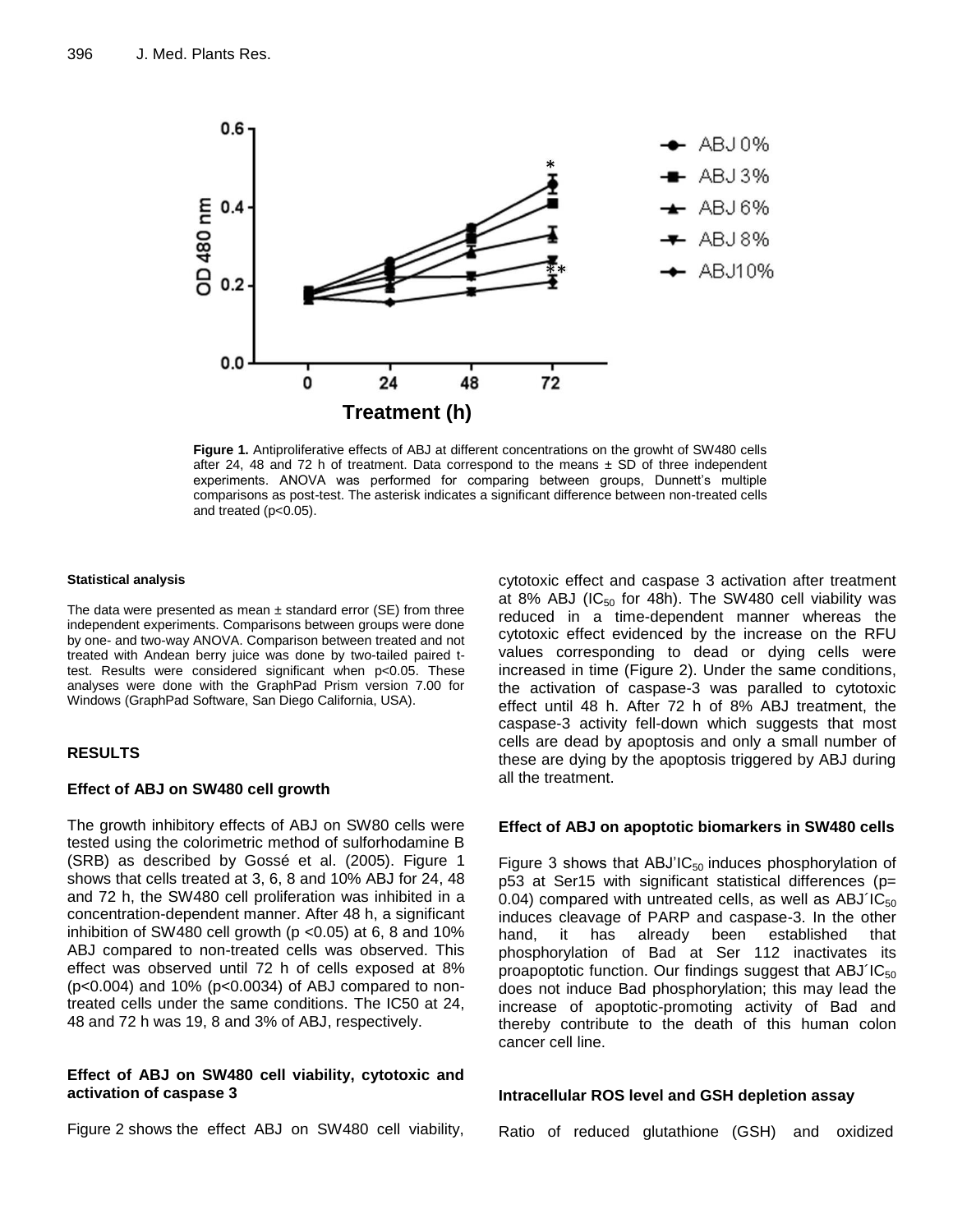

**Figure 1.** Antiproliferative effects of ABJ at different concentrations on the growht of SW480 cells after 24, 48 and 72 h of treatment. Data correspond to the means  $\pm$  SD of three independent experiments. ANOVA was performed for comparing between groups, Dunnett's multiple comparisons as post-test. The asterisk indicates a significant difference between non-treated cells and treated (p<0.05).

#### **Statistical analysis**

The data were presented as mean  $\pm$  standard error (SE) from three independent experiments. Comparisons between groups were done by one- and two-way ANOVA. Comparison between treated and not treated with Andean berry juice was done by two-tailed paired ttest. Results were considered significant when p<0.05. These analyses were done with the GraphPad Prism version 7.00 for Windows (GraphPad Software, San Diego California, USA).

# **RESULTS**

# **Effect of ABJ on SW480 cell growth**

The growth inhibitory effects of ABJ on SW80 cells were tested using the colorimetric method of sulforhodamine B (SRB) as described by Gossé et al. (2005). Figure 1 shows that cells treated at 3, 6, 8 and 10% ABJ for 24, 48 and 72 h, the SW480 cell proliferation was inhibited in a concentration-dependent manner. After 48 h, a significant inhibition of SW480 cell growth ( $p$  < 0.05) at 6, 8 and 10% ABJ compared to non-treated cells was observed. This effect was observed until 72 h of cells exposed at 8% (p<0.004) and 10% (p<0.0034) of ABJ compared to nontreated cells under the same conditions. The IC50 at 24, 48 and 72 h was 19, 8 and 3% of ABJ, respectively.

# **Effect of ABJ on SW480 cell viability, cytotoxic and activation of caspase 3**

Figure 2 shows the effect ABJ on SW480 cell viability,

cytotoxic effect and caspase 3 activation after treatment at 8% ABJ (IC $_{50}$  for 48h). The SW480 cell viability was reduced in a time-dependent manner whereas the cytotoxic effect evidenced by the increase on the RFU values corresponding to dead or dying cells were increased in time (Figure 2). Under the same conditions, the activation of caspase-3 was paralled to cytotoxic effect until 48 h. After 72 h of 8% ABJ treatment, the caspase-3 activity fell-down which suggests that most cells are dead by apoptosis and only a small number of these are dying by the apoptosis triggered by ABJ during all the treatment.

#### **Effect of ABJ on apoptotic biomarkers in SW480 cells**

Figure 3 shows that ABJ'IC $_{50}$  induces phosphorylation of p53 at Ser15 with significant statistical differences (p= 0.04) compared with untreated cells, as well as  $ABJ<sup>'1</sup>C<sub>50</sub>$ induces cleavage of PARP and caspase-3. In the other hand, it has already been established that phosphorylation of Bad at Ser 112 inactivates its proapoptotic function. Our findings suggest that  $ABJIC_{50}$ does not induce Bad phosphorylation; this may lead the increase of apoptotic-promoting activity of Bad and thereby contribute to the death of this human colon cancer cell line.

# **Intracellular ROS level and GSH depletion assay**

Ratio of reduced glutathione (GSH) and oxidized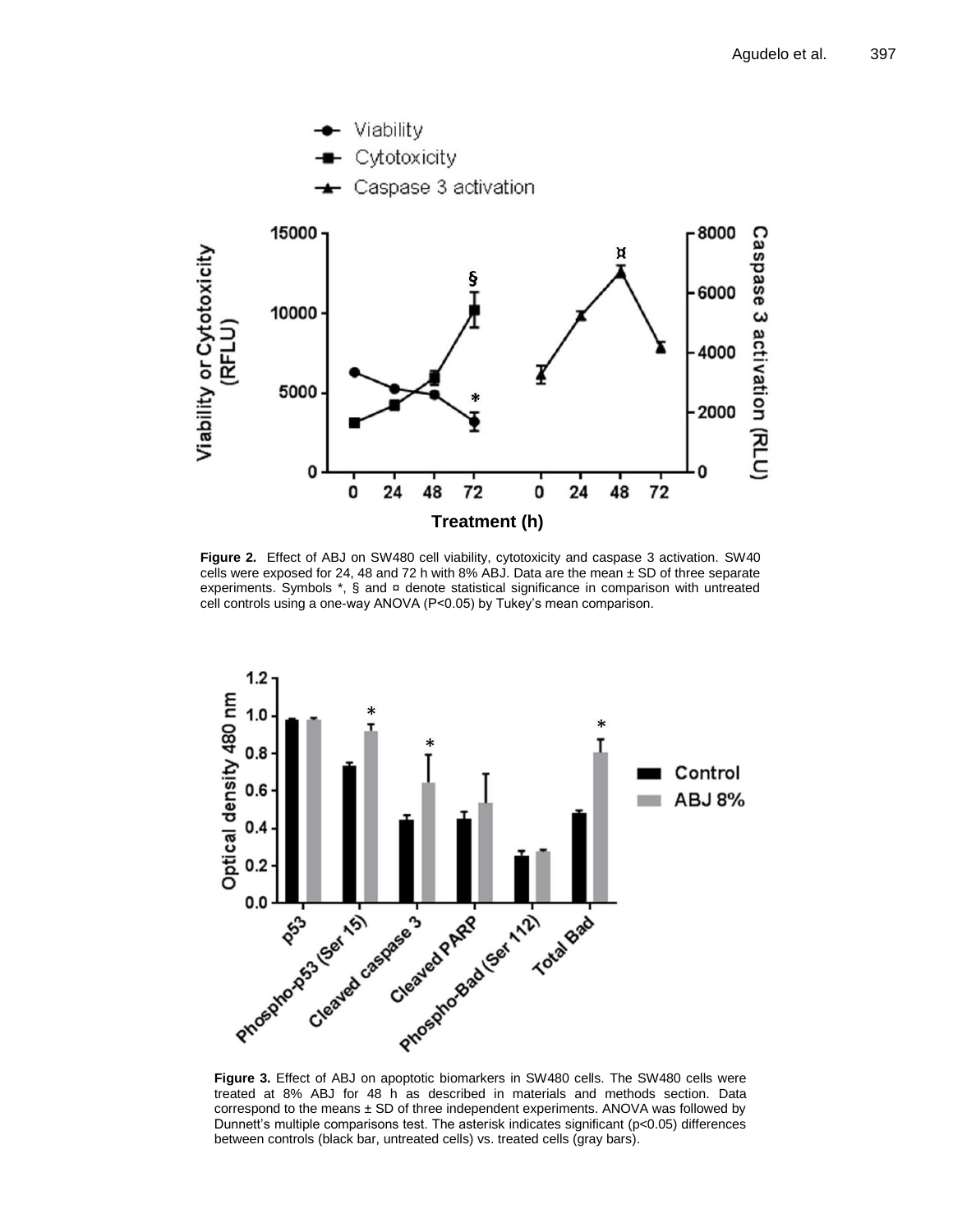

**Figure 2.** Effect of ABJ on SW480 cell viability, cytotoxicity and caspase 3 activation. SW40 cells were exposed for 24, 48 and 72 h with 8% ABJ. Data are the mean  $\pm$  SD of three separate experiments. Symbols  $\ast$ , § and  $\alpha$  denote statistical significance in comparison with untreated cell controls using a one-way ANOVA (P<0.05) by Tukey's mean comparison.



**Figure 3.** Effect of ABJ on apoptotic biomarkers in SW480 cells. The SW480 cells were treated at 8% ABJ for 48 h as described in materials and methods section. Data correspond to the means ± SD of three independent experiments. ANOVA was followed by Dunnett's multiple comparisons test. The asterisk indicates significant (p<0.05) differences between controls (black bar, untreated cells) vs. treated cells (gray bars).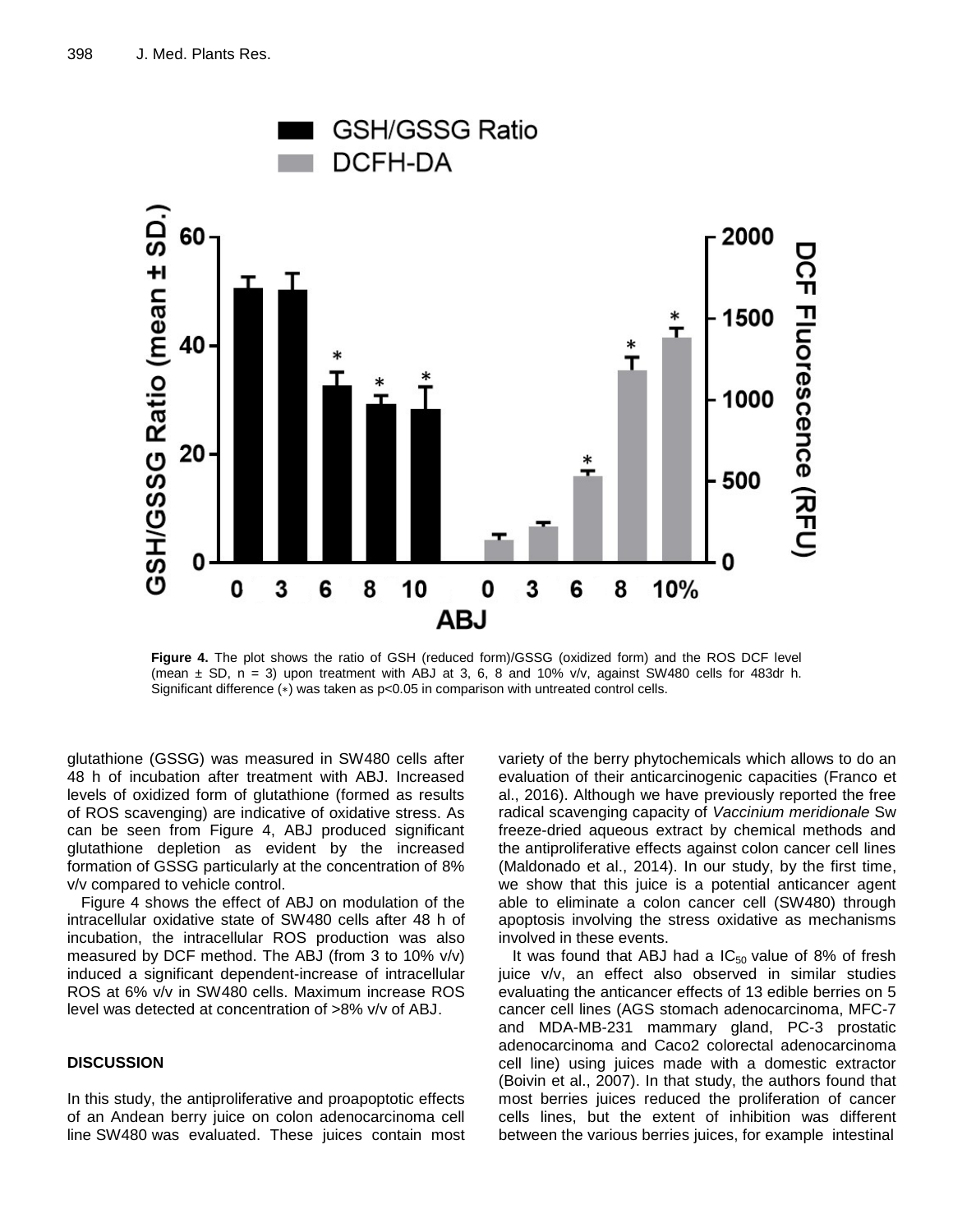

**Figure 4.** The plot shows the ratio of GSH (reduced form)/GSSG (oxidized form) and the ROS DCF level (mean  $\pm$  SD, n = 3) upon treatment with ABJ at 3, 6, 8 and 10% v/v, against SW480 cells for 483dr h. Significant difference (∗) was taken as p<0.05 in comparison with untreated control cells.

glutathione (GSSG) was measured in SW480 cells after 48 h of incubation after treatment with ABJ. Increased levels of oxidized form of glutathione (formed as results of ROS scavenging) are indicative of oxidative stress. As can be seen from Figure 4, ABJ produced significant glutathione depletion as evident by the increased formation of GSSG particularly at the concentration of 8% v/v compared to vehicle control.

Figure 4 shows the effect of ABJ on modulation of the intracellular oxidative state of SW480 cells after 48 h of incubation, the intracellular ROS production was also measured by DCF method. The ABJ (from 3 to 10% v/v) induced a significant dependent-increase of intracellular ROS at 6% v/v in SW480 cells. Maximum increase ROS level was detected at concentration of >8% v/v of ABJ.

# **DISCUSSION**

In this study, the antiproliferative and proapoptotic effects of an Andean berry juice on colon adenocarcinoma cell line SW480 was evaluated. These juices contain most

variety of the berry phytochemicals which allows to do an evaluation of their anticarcinogenic capacities (Franco et al., 2016). Although we have previously reported the free radical scavenging capacity of *Vaccinium meridionale* Sw freeze-dried aqueous extract by chemical methods and the antiproliferative effects against colon cancer cell lines (Maldonado et al., 2014). In our study, by the first time, we show that this juice is a potential anticancer agent able to eliminate a colon cancer cell (SW480) through apoptosis involving the stress oxidative as mechanisms involved in these events.

It was found that ABJ had a  $IC_{50}$  value of 8% of fresh juice v/v, an effect also observed in similar studies evaluating the anticancer effects of 13 edible berries on 5 cancer cell lines (AGS stomach adenocarcinoma, MFC-7 and MDA-MB-231 mammary gland, PC-3 prostatic adenocarcinoma and Caco2 colorectal adenocarcinoma cell line) using juices made with a domestic extractor (Boivin et al., 2007). In that study, the authors found that most berries juices reduced the proliferation of cancer cells lines, but the extent of inhibition was different between the various berries juices, for example intestinal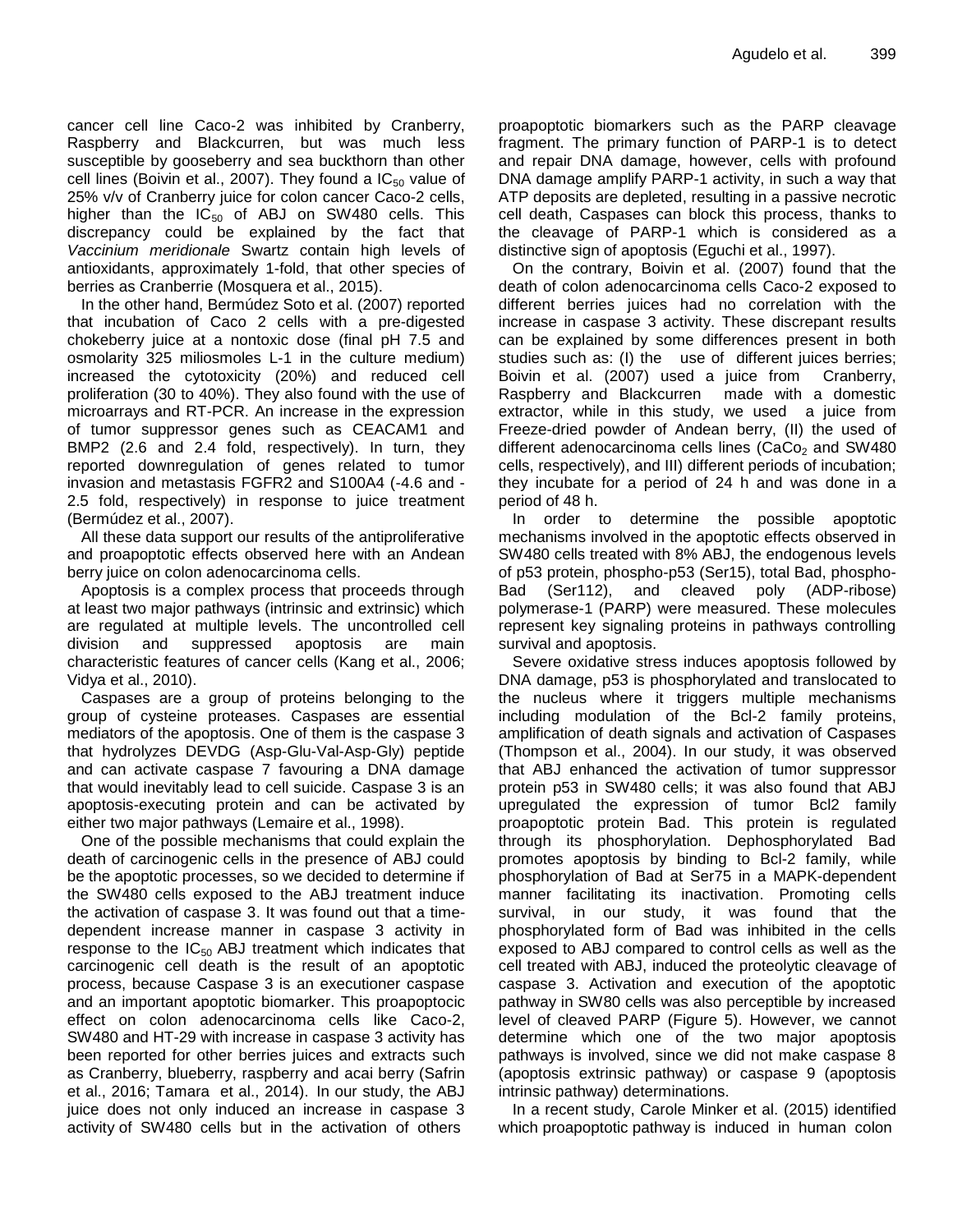cancer cell line Caco-2 was inhibited by Cranberry, Raspberry and Blackcurren, but was much less susceptible by gooseberry and sea buckthorn than other cell lines (Boivin et al., 2007). They found a  $IC_{50}$  value of 25% v/v of Cranberry juice for colon cancer Caco-2 cells, higher than the  $IC_{50}$  of ABJ on SW480 cells. This discrepancy could be explained by the fact that *Vaccinium meridionale* Swartz contain high levels of antioxidants, approximately 1-fold, that other species of berries as Cranberrie (Mosquera et al., 2015).

In the other hand, Bermúdez Soto et al. (2007) reported that incubation of Caco 2 cells with a pre-digested chokeberry juice at a nontoxic dose (final pH 7.5 and osmolarity 325 miliosmoles L-1 in the culture medium) increased the cytotoxicity (20%) and reduced cell proliferation (30 to 40%). They also found with the use of microarrays and RT-PCR. An increase in the expression of tumor suppressor genes such as CEACAM1 and BMP2 (2.6 and 2.4 fold, respectively). In turn, they reported downregulation of genes related to tumor invasion and metastasis FGFR2 and S100A4 (-4.6 and - 2.5 fold, respectively) in response to juice treatment (Bermúdez et al., 2007).

All these data support our results of the antiproliferative and proapoptotic effects observed here with an Andean berry juice on colon adenocarcinoma cells.

Apoptosis is a complex process that proceeds through at least two major pathways (intrinsic and extrinsic) which are regulated at multiple levels. The uncontrolled cell division and suppressed apoptosis are main characteristic features of cancer cells (Kang et al., 2006; Vidya et al., 2010).

Caspases are a group of proteins belonging to the group of cysteine proteases. Caspases are essential mediators of the apoptosis. One of them is the caspase 3 that hydrolyzes DEVDG (Asp-Glu-Val-Asp-Gly) peptide and can activate caspase 7 favouring a DNA damage that would inevitably lead to cell suicide. Caspase 3 is an apoptosis-executing protein and can be activated by either two major pathways (Lemaire et al., 1998).

One of the possible mechanisms that could explain the death of carcinogenic cells in the presence of ABJ could be the apoptotic processes, so we decided to determine if the SW480 cells exposed to the ABJ treatment induce the activation of caspase 3. It was found out that a timedependent increase manner in caspase 3 activity in response to the  $IC_{50}$  ABJ treatment which indicates that carcinogenic cell death is the result of an apoptotic process, because Caspase 3 is an executioner caspase and an important apoptotic biomarker. This proapoptocic effect on colon adenocarcinoma cells like Caco-2, SW480 and HT-29 with increase in caspase 3 activity has been reported for other berries juices and extracts such as Cranberry, blueberry, raspberry and acai berry (Safrin et al., 2016; Tamara et al., 2014). In our study, the ABJ juice does not only induced an increase in caspase 3 activity of SW480 cells but in the activation of others

proapoptotic biomarkers such as the PARP cleavage fragment. The primary function of PARP-1 is to detect and repair DNA damage, however, cells with profound DNA damage amplify PARP-1 activity, in such a way that ATP deposits are depleted, resulting in a passive necrotic cell death, Caspases can block this process, thanks to the cleavage of PARP-1 which is considered as a distinctive sign of apoptosis (Eguchi et al., 1997).

On the contrary, Boivin et al. (2007) found that the death of colon adenocarcinoma cells Caco-2 exposed to different berries juices had no correlation with the increase in caspase 3 activity. These discrepant results can be explained by some differences present in both studies such as: (I) the use of different juices berries; Boivin et al. (2007) used a juice from Cranberry, Raspberry and Blackcurren made with a domestic extractor, while in this study, we used a juice from Freeze-dried powder of Andean berry, (II) the used of different adenocarcinoma cells lines (CaCo<sub>2</sub> and SW480 cells, respectively), and III) different periods of incubation; they incubate for a period of 24 h and was done in a period of 48 h.

In order to determine the possible apoptotic mechanisms involved in the apoptotic effects observed in SW480 cells treated with 8% ABJ, the endogenous levels of p53 protein, phospho-p53 (Ser15), total Bad, phospho-Bad (Ser112), and cleaved poly (ADP-ribose) polymerase-1 (PARP) were measured. These molecules represent key signaling proteins in pathways controlling survival and apoptosis.

Severe oxidative stress induces apoptosis followed by DNA damage, p53 is phosphorylated and translocated to the nucleus where it triggers multiple mechanisms including modulation of the Bcl-2 family proteins, amplification of death signals and activation of Caspases (Thompson et al., 2004). In our study, it was observed that ABJ enhanced the activation of tumor suppressor protein p53 in SW480 cells; it was also found that ABJ upregulated the expression of tumor Bcl2 family proapoptotic protein Bad. This protein is regulated through its phosphorylation. Dephosphorylated Bad promotes apoptosis by binding to Bcl-2 family, while phosphorylation of Bad at Ser75 in a MAPK-dependent manner facilitating its inactivation. Promoting cells survival, in our study, it was found that the phosphorylated form of Bad was inhibited in the cells exposed to ABJ compared to control cells as well as the cell treated with ABJ, induced the proteolytic cleavage of caspase 3. Activation and execution of the apoptotic pathway in SW80 cells was also perceptible by increased level of cleaved PARP (Figure 5). However, we cannot determine which one of the two major apoptosis pathways is involved, since we did not make caspase 8 (apoptosis extrinsic pathway) or caspase 9 (apoptosis intrinsic pathway) determinations.

In a recent study, Carole Minker et al. (2015) identified which proapoptotic pathway is induced in human colon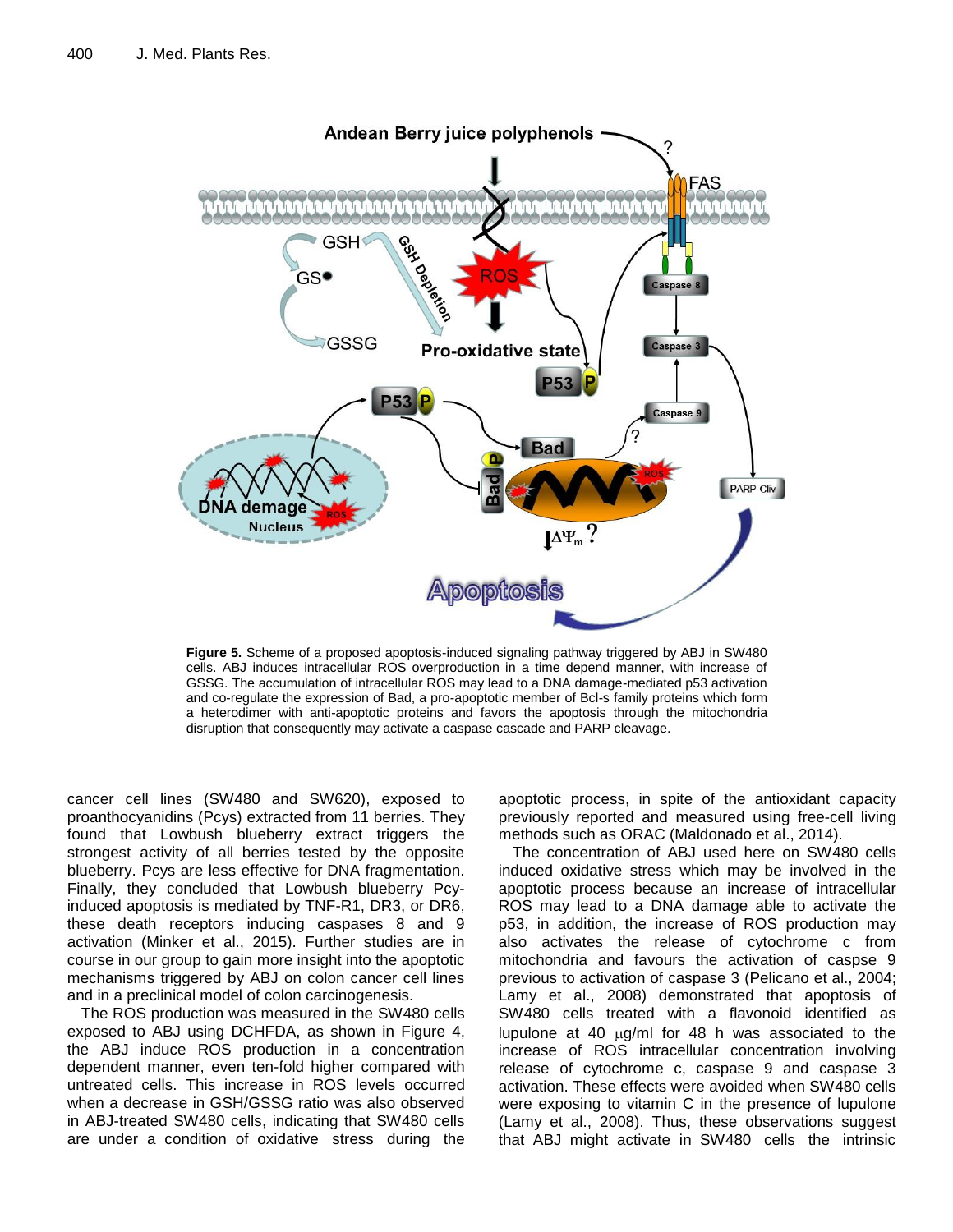

**Figure 5.** Scheme of a proposed apoptosis-induced signaling pathway triggered by ABJ in SW480 cells. ABJ induces intracellular ROS overproduction in a time depend manner, with increase of GSSG. The accumulation of intracellular ROS may lead to a DNA damage-mediated p53 activation and co-regulate the expression of Bad, a pro-apoptotic member of Bcl-s family proteins which form a heterodimer with anti-apoptotic proteins and favors the apoptosis through the mitochondria disruption that consequently may activate a caspase cascade and PARP cleavage.

cancer cell lines (SW480 and SW620), exposed to proanthocyanidins (Pcys) extracted from 11 berries. They found that Lowbush blueberry extract triggers the strongest activity of all berries tested by the opposite blueberry. Pcys are less effective for DNA fragmentation. Finally, they concluded that Lowbush blueberry Pcyinduced apoptosis is mediated by TNF-R1, DR3, or DR6, these death receptors inducing caspases 8 and 9 activation (Minker et al., 2015). Further studies are in course in our group to gain more insight into the apoptotic mechanisms triggered by ABJ on colon cancer cell lines and in a preclinical model of colon carcinogenesis.

The ROS production was measured in the SW480 cells exposed to ABJ using DCHFDA, as shown in Figure 4, the ABJ induce ROS production in a concentration dependent manner, even ten-fold higher compared with untreated cells. This increase in ROS levels occurred when a decrease in GSH/GSSG ratio was also observed in ABJ-treated SW480 cells, indicating that SW480 cells are under a condition of oxidative stress during the apoptotic process, in spite of the antioxidant capacity previously reported and measured using free-cell living methods such as ORAC (Maldonado et al., 2014).

The concentration of ABJ used here on SW480 cells induced oxidative stress which may be involved in the apoptotic process because an increase of intracellular ROS may lead to a DNA damage able to activate the p53, in addition, the increase of ROS production may also activates the release of cytochrome c from mitochondria and favours the activation of caspse 9 previous to activation of caspase 3 (Pelicano et al., 2004; Lamy et al., 2008) demonstrated that apoptosis of SW480 cells treated with a flavonoid identified as lupulone at 40  $\mu$ g/ml for 48 h was associated to the increase of ROS intracellular concentration involving release of cytochrome c, caspase 9 and caspase 3 activation. These effects were avoided when SW480 cells were exposing to vitamin C in the presence of lupulone (Lamy et al., 2008). Thus, these observations suggest that ABJ might activate in SW480 cells the intrinsic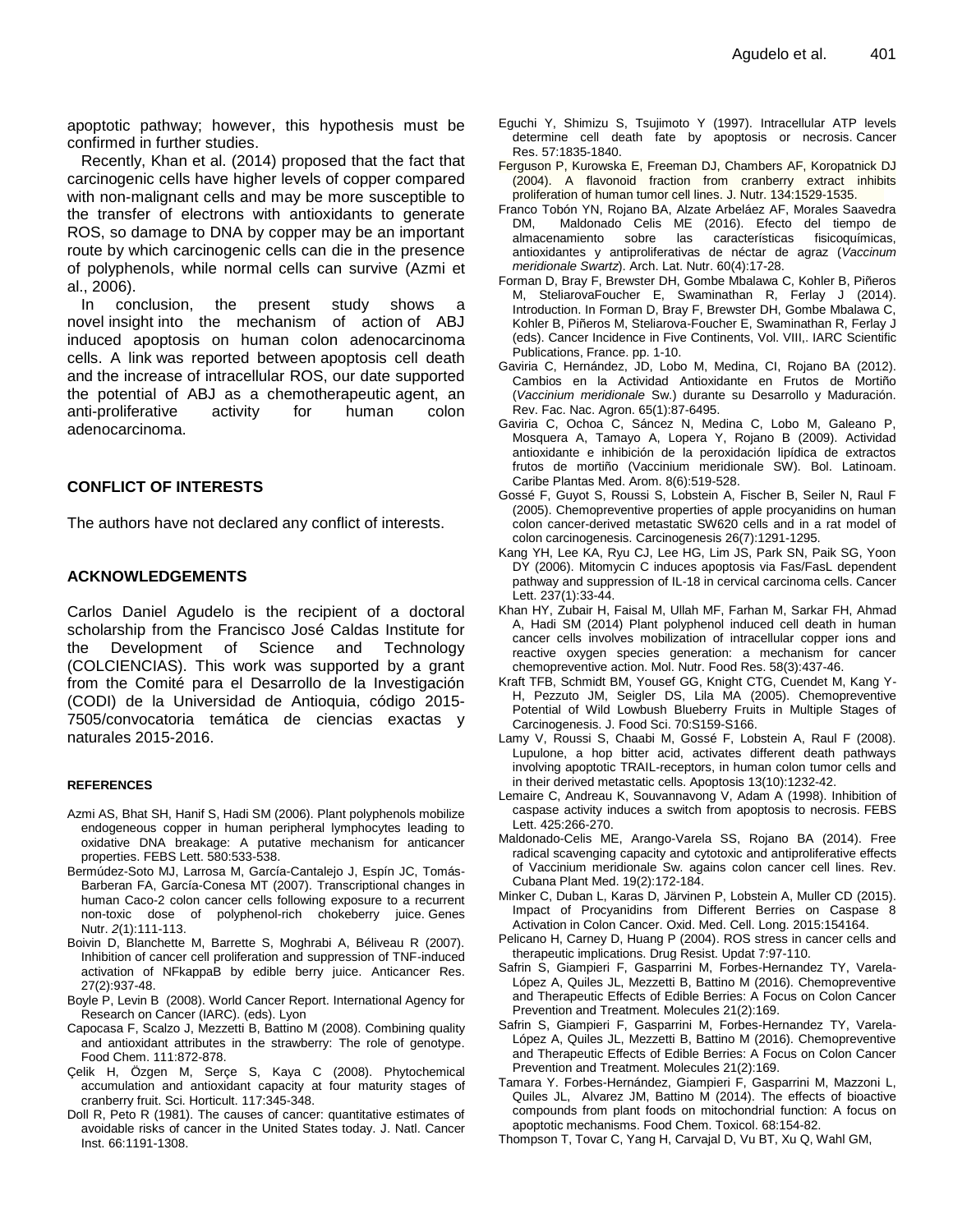apoptotic pathway; however, this hypothesis must be confirmed in further studies.

Recently, Khan et al. (2014) proposed that the fact that carcinogenic cells have higher levels of copper compared with non-malignant cells and may be more susceptible to the transfer of electrons with antioxidants to generate ROS, so damage to DNA by copper may be an important route by which carcinogenic cells can die in the presence of polyphenols, while normal cells can survive (Azmi et al., 2006).

In conclusion, the present study shows a novel insight into the mechanism of action of ABJ induced apoptosis on human colon adenocarcinoma cells. A link was reported between apoptosis cell death and the increase of intracellular ROS, our date supported the potential of ABJ as a chemotherapeutic agent, an anti-proliferative activity for human colon adenocarcinoma.

# **CONFLICT OF INTERESTS**

The authors have not declared any conflict of interests.

# **ACKNOWLEDGEMENTS**

Carlos Daniel Agudelo is the recipient of a doctoral scholarship from the Francisco José Caldas Institute for the Development of Science and Technology (COLCIENCIAS). This work was supported by a grant from the Comité para el Desarrollo de la Investigación (CODI) de la Universidad de Antioquia, código 2015- 7505/convocatoria temática de ciencias exactas y naturales 2015-2016.

#### **REFERENCES**

- Azmi AS, Bhat SH, Hanif S, Hadi SM (2006). Plant polyphenols mobilize endogeneous copper in human peripheral lymphocytes leading to oxidative DNA breakage: A putative mechanism for anticancer properties. FEBS Lett. 580:533-538.
- Bermúdez-Soto MJ, Larrosa M, García-Cantalejo J, Espín JC, Tomás-Barberan FA, García-Conesa MT (2007). Transcriptional changes in human Caco-2 colon cancer cells following exposure to a recurrent non-toxic dose of polyphenol-rich chokeberry juice. Genes Nutr. *2*(1):111-113.
- Boivin D, Blanchette M, Barrette S, Moghrabi A, Béliveau R (2007). Inhibition of cancer cell proliferation and suppression of TNF-induced activation of NFkappaB by edible berry juice. Anticancer Res. 27(2):937-48.
- Boyle P, Levin B (2008). World Cancer Report. International Agency for Research on Cancer (IARC). (eds). Lyon
- Capocasa F, Scalzo J, Mezzetti B, Battino M (2008). Combining quality and antioxidant attributes in the strawberry: The role of genotype. Food Chem. 111:872-878.
- Çelik H, Özgen M, Serçe S, Kaya C (2008). Phytochemical accumulation and antioxidant capacity at four maturity stages of cranberry fruit. Sci. Horticult. 117:345-348.
- Doll R, Peto R (1981). The causes of cancer: quantitative estimates of avoidable risks of cancer in the United States today. J. Natl. Cancer Inst. 66:1191-1308.
- Eguchi Y, Shimizu S, Tsujimoto Y (1997). Intracellular ATP levels determine cell death fate by apoptosis or necrosis. Cancer Res. 57:1835-1840.
- Ferguson P, Kurowska E, Freeman DJ, Chambers AF, Koropatnick DJ (2004). A flavonoid fraction from cranberry extract inhibits proliferation of human tumor cell lines. J. Nutr. 134:1529-1535.
- Franco Tobón YN, Rojano BA, Alzate Arbeláez AF, Morales Saavedra DM, Maldonado Celis ME (2016). Efecto del tiempo de almacenamiento sobre las características fisicoquímicas, antioxidantes y antiproliferativas de néctar de agraz (*Vaccinum meridionale Swartz*). Arch. Lat. Nutr. 60(4):17-28.
- Forman D, Bray F, Brewster DH, Gombe Mbalawa C, Kohler B, Piñeros M, SteliarovaFoucher E, Swaminathan R, Ferlay J (2014). Introduction. In Forman D, Bray F, Brewster DH, Gombe Mbalawa C, Kohler B, Piñeros M, Steliarova-Foucher E, Swaminathan R, Ferlay J (eds). Cancer Incidence in Five Continents, Vol. VIII,. IARC Scientific Publications, France. pp. 1-10.
- Gaviria C, Hernández, JD, Lobo M, Medina, CI, Rojano BA (2012). Cambios en la Actividad Antioxidante en Frutos de Mortiño (*Vaccinium meridionale* Sw.) durante su Desarrollo y Maduración. Rev. Fac. Nac. Agron. 65(1):87-6495.
- Gaviria C, Ochoa C, Sáncez N, Medina C, Lobo M, Galeano P, Mosquera A, Tamayo A, Lopera Y, Rojano B (2009). Actividad antioxidante e inhibición de la peroxidación lipídica de extractos frutos de mortiño (Vaccinium meridionale SW). Bol. Latinoam. Caribe Plantas Med. Arom. 8(6):519-528.
- Gossé F, Guyot S, Roussi S, Lobstein A, Fischer B, Seiler N, Raul F (2005). Chemopreventive properties of apple procyanidins on human colon cancer-derived metastatic SW620 cells and in a rat model of colon carcinogenesis. Carcinogenesis 26(7):1291-1295.
- Kang YH, Lee KA, Ryu CJ, Lee HG, Lim JS, Park SN, Paik SG, Yoon DY (2006). Mitomycin C induces apoptosis via Fas/FasL dependent pathway and suppression of IL-18 in cervical carcinoma cells. Cancer Lett. 237(1):33-44.
- Khan HY, Zubair H, Faisal M, Ullah MF, Farhan M, Sarkar FH, Ahmad A, Hadi SM (2014) Plant polyphenol induced cell death in human cancer cells involves mobilization of intracellular copper ions and reactive oxygen species generation: a mechanism for cancer chemopreventive action. Mol. Nutr. Food Res. 58(3):437-46.
- Kraft TFB, Schmidt BM, Yousef GG, Knight CTG, Cuendet M, Kang Y-H, Pezzuto JM, Seigler DS, Lila MA (2005). Chemopreventive Potential of Wild Lowbush Blueberry Fruits in Multiple Stages of Carcinogenesis. J. Food Sci. 70:S159-S166.
- Lamy V, Roussi S, Chaabi M, Gossé F, Lobstein A, Raul F (2008). Lupulone, a hop bitter acid, activates different death pathways involving apoptotic TRAIL-receptors, in human colon tumor cells and in their derived metastatic cells. Apoptosis 13(10):1232-42.
- Lemaire C, Andreau K, Souvannavong V, Adam A (1998). Inhibition of caspase activity induces a switch from apoptosis to necrosis. FEBS Lett. 425:266-270.
- Maldonado-Celis ME, Arango-Varela SS, Rojano BA (2014). Free radical scavenging capacity and cytotoxic and antiproliferative effects of Vaccinium meridionale Sw. agains colon cancer cell lines. Rev. Cubana Plant Med. 19(2):172-184.
- Minker C, Duban L, Karas D, Järvinen P, Lobstein A, Muller CD (2015). Impact of Procyanidins from Different Berries on Caspase 8 Activation in Colon Cancer. Oxid. Med. Cell. Long. 2015:154164.
- Pelicano H, Carney D, Huang P (2004). ROS stress in cancer cells and therapeutic implications. Drug Resist. Updat 7:97-110.
- Safrin S, Giampieri F, Gasparrini M, Forbes-Hernandez TY, Varela-López A, Quiles JL, Mezzetti B, Battino M (2016). Chemopreventive and Therapeutic Effects of Edible Berries: A Focus on Colon Cancer Prevention and Treatment. Molecules 21(2):169.
- Safrin S, Giampieri F, Gasparrini M, Forbes-Hernandez TY, Varela-López A, Quiles JL, Mezzetti B, Battino M (2016). Chemopreventive and Therapeutic Effects of Edible Berries: A Focus on Colon Cancer Prevention and Treatment. Molecules 21(2):169.
- Tamara Y. Forbes-Hernández, Giampieri F, Gasparrini M, Mazzoni L, Quiles JL, Alvarez JM, Battino M (2014). The effects of bioactive compounds from plant foods on mitochondrial function: A focus on apoptotic mechanisms. Food Chem. Toxicol. 68:154-82.
- Thompson T, Tovar C, Yang H, Carvajal D, Vu BT, Xu Q, Wahl GM,